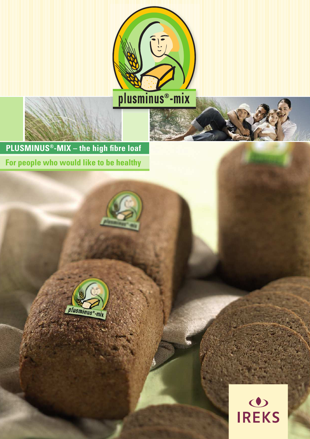

**PLUSMINUS<sup>®</sup>-MIX** - the high fibre loaf For people who would like to be healthy